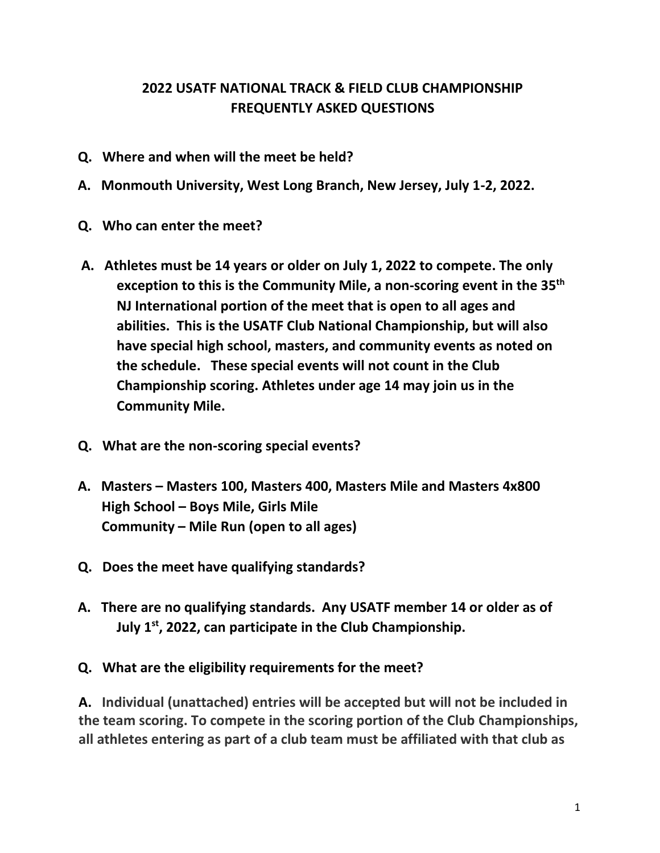## **2022 USATF NATIONAL TRACK & FIELD CLUB CHAMPIONSHIP FREQUENTLY ASKED QUESTIONS**

- **Q. Where and when will the meet be held?**
- **A. Monmouth University, West Long Branch, New Jersey, July 1-2, 2022.**
- **Q. Who can enter the meet?**
- **A. Athletes must be 14 years or older on July 1, 2022 to compete. The only exception to this is the Community Mile, a non-scoring event in the 35th NJ International portion of the meet that is open to all ages and abilities. This is the USATF Club National Championship, but will also have special high school, masters, and community events as noted on the schedule. These special events will not count in the Club Championship scoring. Athletes under age 14 may join us in the Community Mile.**
- **Q. What are the non-scoring special events?**
- **A. Masters – Masters 100, Masters 400, Masters Mile and Masters 4x800 High School – Boys Mile, Girls Mile Community – Mile Run (open to all ages)**
- **Q. Does the meet have qualifying standards?**
- **A. There are no qualifying standards. Any USATF member 14 or older as of July 1st, 2022, can participate in the Club Championship.**

## **Q. What are the eligibility requirements for the meet?**

**A. Individual (unattached) entries will be accepted but will not be included in the team scoring. To compete in the scoring portion of the Club Championships, all athletes entering as part of a club team must be affiliated with that club as**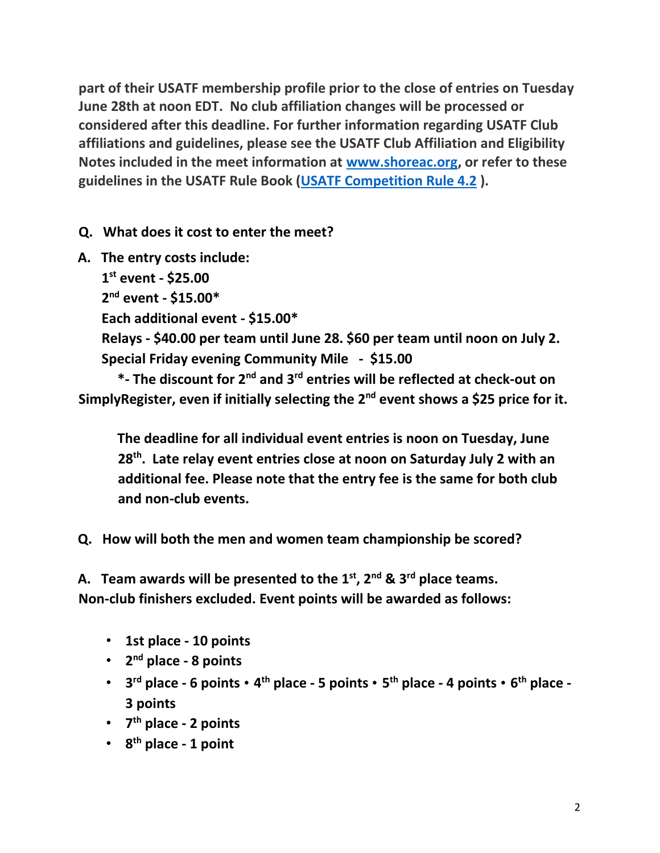**part of their USATF membership profile prior to the close of entries on Tuesday June 28th at noon EDT. No club affiliation changes will be processed or considered after this deadline. For further information regarding USATF Club affiliations and guidelines, please see the USATF Club Affiliation and Eligibility Notes included in the meet information at www.shoreac.org, or refer to these guidelines in the USATF Rule Book (USATF Competition Rule 4.2 ).** 

**Q. What does it cost to enter the meet?** 

**A. The entry costs include:** 

 **1 st event - \$25.00 2 nd event - \$15.00\* Each additional event - \$15.00\* Relays - \$40.00 per team until June 28. \$60 per team until noon on July 2. Special Friday evening Community Mile - \$15.00** 

**\*- The discount for 2nd and 3rd entries will be reflected at check-out on SimplyRegister, even if initially selecting the 2nd event shows a \$25 price for it.**

**The deadline for all individual event entries is noon on Tuesday, June 28th. Late relay event entries close at noon on Saturday July 2 with an additional fee. Please note that the entry fee is the same for both club and non-club events.** 

**Q. How will both the men and women team championship be scored?** 

**A. Team awards will be presented to the 1st, 2nd & 3 rd place teams. Non-club finishers excluded. Event points will be awarded as follows:** 

- **1st place - 10 points**
- **2 nd place - 8 points**
- **3 rd place - 6 points 4 th place - 5 points 5 th place - 4 points 6 th place - 3 points**
- **7 th place - 2 points**
- **8 th place - 1 point**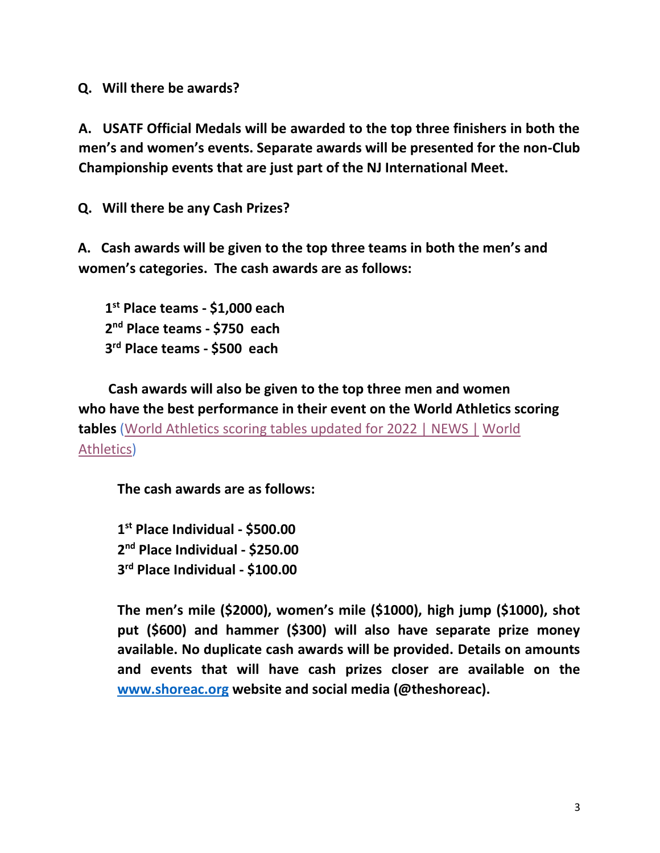**Q. Will there be awards?** 

**A. USATF Official Medals will be awarded to the top three finishers in both the men's and women's events. Separate awards will be presented for the non-Club Championship events that are just part of the NJ International Meet.** 

**Q. Will there be any Cash Prizes?** 

**A. Cash awards will be given to the top three teams in both the men's and women's categories. The cash awards are as follows:** 

 **1 st Place teams - \$1,000 each 2 nd Place teams - \$750 each 3 rd Place teams - \$500 each** 

 **Cash awards will also be given to the top three men and women who have the best performance in their event on the World Athletics scoring tables** (World Athletics scoring tables updated for 2022 | NEWS | World Athletics)

**The cash awards are as follows:** 

**1 st Place Individual - \$500.00 2 nd Place Individual - \$250.00 3 rd Place Individual - \$100.00** 

**The men's mile (\$2000), women's mile (\$1000), high jump (\$1000), shot put (\$600) and hammer (\$300) will also have separate prize money available. No duplicate cash awards will be provided. Details on amounts and events that will have cash prizes closer are available on the www.shoreac.org website and social media (@theshoreac).**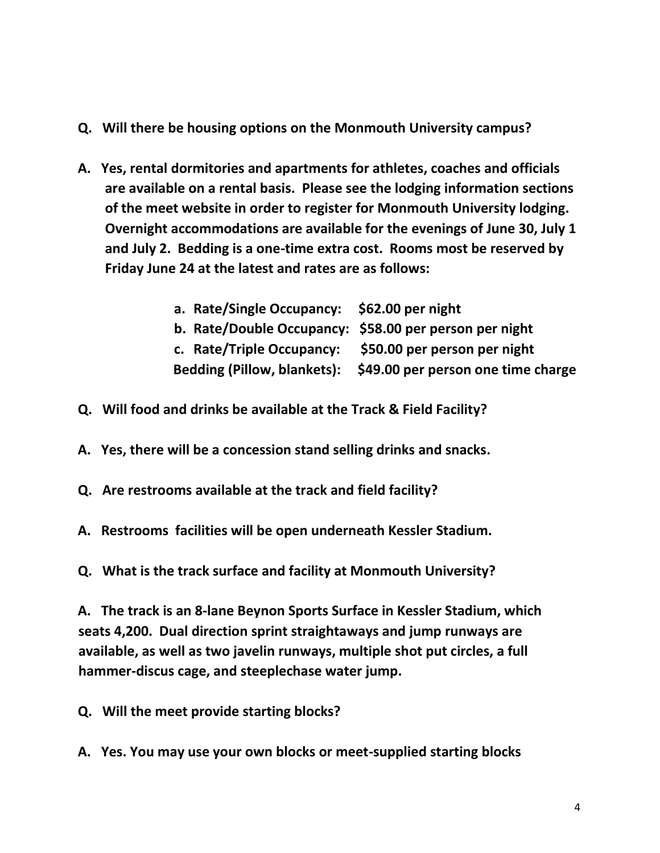- **Q. Will there be housing options on the Monmouth University campus?**
- **A. Yes, rental dormitories and apartments for athletes, coaches and officials are available on a rental basis. Please see the lodging information sections of the meet website in order to register for Monmouth University lodging. Overnight accommodations are available for the evenings of June 30, July 1 and July 2. Bedding is a one-time extra cost. Rooms most be reserved by Friday June 24 at the latest and rates are as follows:**

| a. Rate/Single Occupancy: \$62.00 per night            |                                                                |
|--------------------------------------------------------|----------------------------------------------------------------|
| b. Rate/Double Occupancy: \$58.00 per person per night |                                                                |
| c. Rate/Triple Occupancy: \$50.00 per person per night |                                                                |
|                                                        | Bedding (Pillow, blankets): \$49.00 per person one time charge |

- **Q. Will food and drinks be available at the Track & Field Facility?**
- **A. Yes, there will be a concession stand selling drinks and snacks.**
- **Q. Are restrooms available at the track and field facility?**
- **A. Restrooms facilities will be open underneath Kessler Stadium.**
- **Q. What is the track surface and facility at Monmouth University?**

**A. The track is an 8-lane Beynon Sports Surface in Kessler Stadium, which seats 4,200. Dual direction sprint straightaways and jump runways are available, as well as two javelin runways, multiple shot put circles, a full hammer-discus cage, and steeplechase water jump.** 

**Q. Will the meet provide starting blocks?** 

**A. Yes. You may use your own blocks or meet-supplied starting blocks**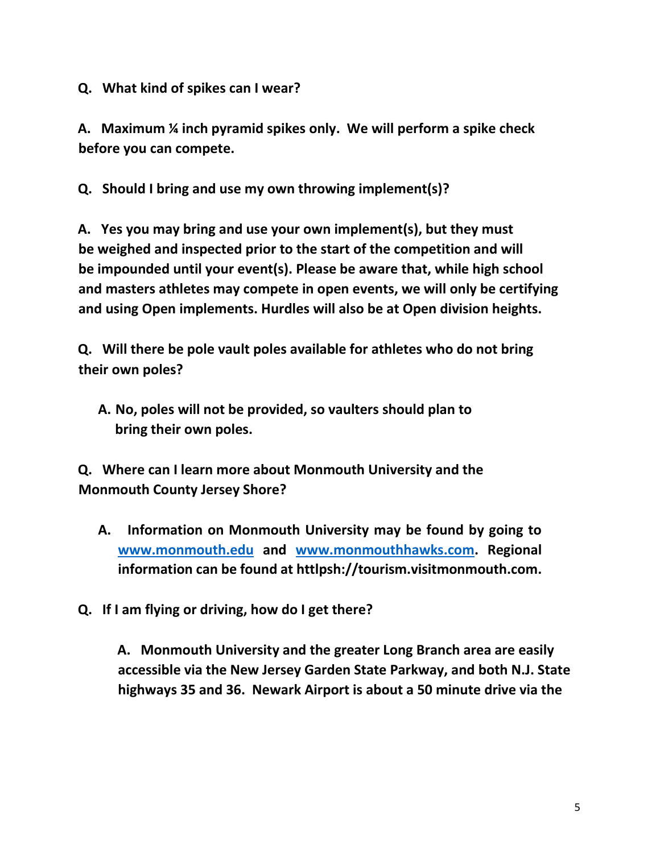**Q. What kind of spikes can I wear?** 

**A. Maximum ¼ inch pyramid spikes only. We will perform a spike check before you can compete.** 

**Q. Should I bring and use my own throwing implement(s)?** 

**A. Yes you may bring and use your own implement(s), but they must be weighed and inspected prior to the start of the competition and will be impounded until your event(s). Please be aware that, while high school and masters athletes may compete in open events, we will only be certifying and using Open implements. Hurdles will also be at Open division heights.**

**Q. Will there be pole vault poles available for athletes who do not bring their own poles?** 

**A. No, poles will not be provided, so vaulters should plan to bring their own poles.** 

**Q. Where can I learn more about Monmouth University and the Monmouth County Jersey Shore?** 

**A. Information on Monmouth University may be found by going to www.monmouth.edu and www.monmouthhawks.com. Regional information can be found at httlpsh://tourism.visitmonmouth.com.** 

**Q. If I am flying or driving, how do I get there?** 

**A. Monmouth University and the greater Long Branch area are easily accessible via the New Jersey Garden State Parkway, and both N.J. State highways 35 and 36. Newark Airport is about a 50 minute drive via the**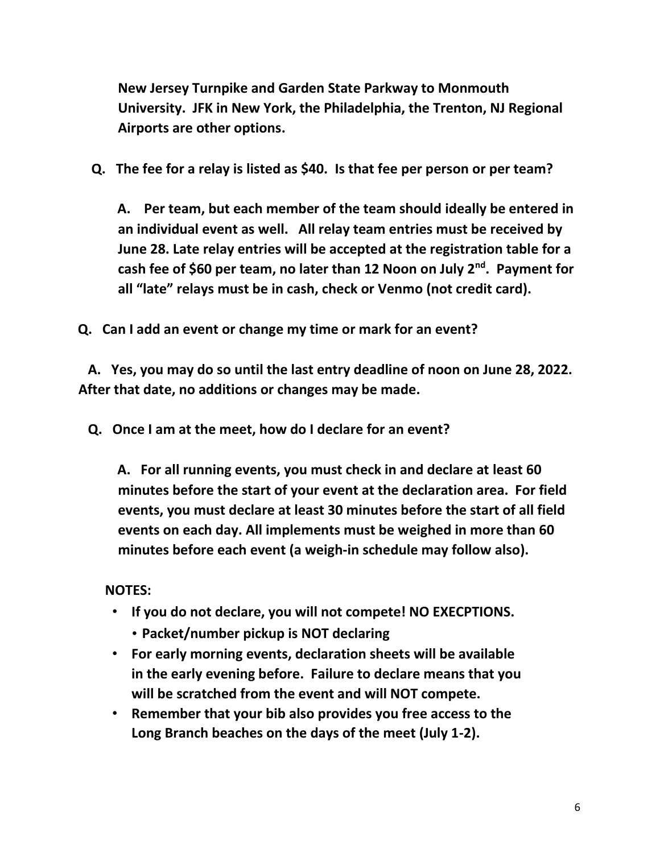**New Jersey Turnpike and Garden State Parkway to Monmouth University. JFK in New York, the Philadelphia, the Trenton, NJ Regional Airports are other options.**

 **Q. The fee for a relay is listed as \$40. Is that fee per person or per team?** 

**A. Per team, but each member of the team should ideally be entered in an individual event as well. All relay team entries must be received by June 28. Late relay entries will be accepted at the registration table for a cash fee of \$60 per team, no later than 12 Noon on July 2nd. Payment for all "late" relays must be in cash, check or Venmo (not credit card).** 

**Q. Can I add an event or change my time or mark for an event?** 

 **A. Yes, you may do so until the last entry deadline of noon on June 28, 2022. After that date, no additions or changes may be made.** 

 **Q. Once I am at the meet, how do I declare for an event?** 

**A. For all running events, you must check in and declare at least 60 minutes before the start of your event at the declaration area. For field events, you must declare at least 30 minutes before the start of all field events on each day. All implements must be weighed in more than 60 minutes before each event (a weigh-in schedule may follow also).** 

 **NOTES:** 

- **If you do not declare, you will not compete! NO EXECPTIONS.** 
	- **Packet/number pickup is NOT declaring**
- **For early morning events, declaration sheets will be available in the early evening before. Failure to declare means that you will be scratched from the event and will NOT compete.**
- **Remember that your bib also provides you free access to the Long Branch beaches on the days of the meet (July 1-2).**